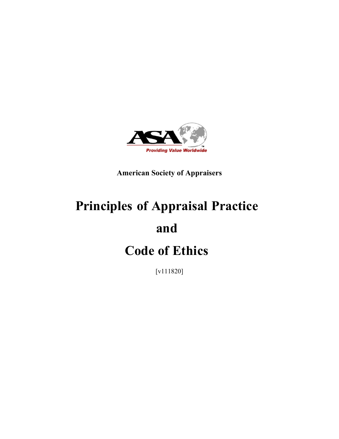

**American Society of Appraisers**

# **Principles of Appraisal Practice and**

## **Code of Ethics**

[v111820]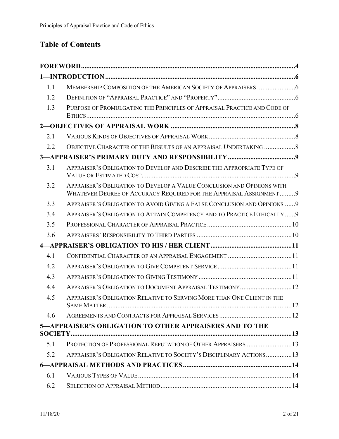## **Table of Contents**

| 1.1 |                                                                                                                                              |  |
|-----|----------------------------------------------------------------------------------------------------------------------------------------------|--|
| 1.2 |                                                                                                                                              |  |
| 1.3 | PURPOSE OF PROMULGATING THE PRINCIPLES OF APPRAISAL PRACTICE AND CODE OF                                                                     |  |
|     |                                                                                                                                              |  |
|     |                                                                                                                                              |  |
| 2.1 |                                                                                                                                              |  |
| 2.2 |                                                                                                                                              |  |
|     |                                                                                                                                              |  |
| 3.1 | APPRAISER'S OBLIGATION TO DEVELOP AND DESCRIBE THE APPROPRIATE TYPE OF                                                                       |  |
| 3.2 | APPRAISER'S OBLIGATION TO DEVELOP A VALUE CONCLUSION AND OPINIONS WITH<br>WHATEVER DEGREE OF ACCURACY REQUIRED FOR THE APPRAISAL ASSIGNMENT9 |  |
| 3.3 | APPRAISER'S OBLIGATION TO AVOID GIVING A FALSE CONCLUSION AND OPINIONS  9                                                                    |  |
| 3.4 | APPRAISER'S OBLIGATION TO ATTAIN COMPETENCY AND TO PRACTICE ETHICALLY  9                                                                     |  |
| 3.5 |                                                                                                                                              |  |
| 3.6 |                                                                                                                                              |  |
|     |                                                                                                                                              |  |
| 4.1 |                                                                                                                                              |  |
| 4.2 |                                                                                                                                              |  |
| 4.3 |                                                                                                                                              |  |
| 4.4 | APPRAISER'S OBLIGATION TO DOCUMENT APPRAISAL TESTIMONY12                                                                                     |  |
| 4.5 | APPRAISER'S OBLIGATION RELATIVE TO SERVING MORE THAN ONE CLIENT IN THE                                                                       |  |
| 4.6 |                                                                                                                                              |  |
|     | 5-APPRAISER'S OBLIGATION TO OTHER APPRAISERS AND TO THE                                                                                      |  |
|     |                                                                                                                                              |  |
| 5.1 | PROTECTION OF PROFESSIONAL REPUTATION OF OTHER APPRAISERS 13                                                                                 |  |
| 5.2 | APPRAISER'S OBLIGATION RELATIVE TO SOCIETY'S DISCIPLINARY ACTIONS13                                                                          |  |
|     |                                                                                                                                              |  |
| 6.1 |                                                                                                                                              |  |
| 6.2 |                                                                                                                                              |  |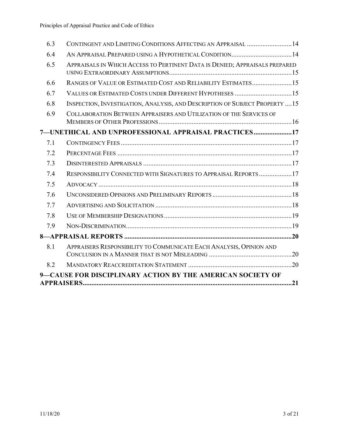| 6.3 | CONTINGENT AND LIMITING CONDITIONS AFFECTING AN APPRAISAL  14                |  |
|-----|------------------------------------------------------------------------------|--|
| 6.4 | AN APPRAISAL PREPARED USING A HYPOTHETICAL CONDITION14                       |  |
| 6.5 | APPRAISALS IN WHICH ACCESS TO PERTINENT DATA IS DENIED; APPRAISALS PREPARED  |  |
| 6.6 | RANGES OF VALUE OR ESTIMATED COST AND RELIABILITY ESTIMATES15                |  |
| 6.7 | VALUES OR ESTIMATED COSTS UNDER DIFFERENT HYPOTHESES 15                      |  |
| 6.8 | INSPECTION, INVESTIGATION, ANALYSIS, AND DESCRIPTION OF SUBJECT PROPERTY  15 |  |
| 6.9 | COLLABORATION BETWEEN APPRAISERS AND UTILIZATION OF THE SERVICES OF          |  |
|     | 7-UNETHICAL AND UNPROFESSIONAL APPRAISAL PRACTICES17                         |  |
| 7.1 |                                                                              |  |
| 7.2 |                                                                              |  |
| 7.3 |                                                                              |  |
| 7.4 | RESPONSIBILITY CONNECTED WITH SIGNATURES TO APPRAISAL REPORTS17              |  |
| 7.5 |                                                                              |  |
| 7.6 |                                                                              |  |
| 7.7 |                                                                              |  |
| 7.8 |                                                                              |  |
| 7.9 |                                                                              |  |
|     |                                                                              |  |
| 8.1 | APPRAISERS RESPONSIBILITY TO COMMUNICATE EACH ANALYSIS, OPINION AND          |  |
| 8.2 |                                                                              |  |
|     | 9-CAUSE FOR DISCIPLINARY ACTION BY THE AMERICAN SOCIETY OF                   |  |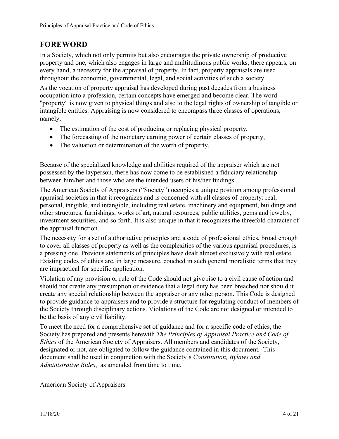## <span id="page-3-0"></span>**FOREWORD**

In a Society, which not only permits but also encourages the private ownership of productive property and one, which also engages in large and multitudinous public works, there appears, on every hand, a necessity for the appraisal of property. In fact, property appraisals are used throughout the economic, governmental, legal, and social activities of such a society.

As the vocation of property appraisal has developed during past decades from a business occupation into a profession, certain concepts have emerged and become clear. The word "property" is now given to physical things and also to the legal rights of ownership of tangible or intangible entities. Appraising is now considered to encompass three classes of operations, namely,

- The estimation of the cost of producing or replacing physical property,
- The forecasting of the monetary earning power of certain classes of property,
- The valuation or determination of the worth of property.

Because of the specialized knowledge and abilities required of the appraiser which are not possessed by the layperson, there has now come to be established a fiduciary relationship between him/her and those who are the intended users of his/her findings.

The American Society of Appraisers ("Society") occupies a unique position among professional appraisal societies in that it recognizes and is concerned with all classes of property: real, personal, tangible, and intangible, including real estate, machinery and equipment, buildings and other structures, furnishings, works of art, natural resources, public utilities, gems and jewelry, investment securities, and so forth. It is also unique in that it recognizes the threefold character of the appraisal function.

The necessity for a set of authoritative principles and a code of professional ethics, broad enough to cover all classes of property as well as the complexities of the various appraisal procedures, is a pressing one. Previous statements of principles have dealt almost exclusively with real estate. Existing codes of ethics are, in large measure, couched in such general moralistic terms that they are impractical for specific application.

Violation of any provision or rule of the Code should not give rise to a civil cause of action and should not create any presumption or evidence that a legal duty has been breached nor should it create any special relationship between the appraiser or any other person. This Code is designed to provide guidance to appraisers and to provide a structure for regulating conduct of members of the Society through disciplinary actions. Violations of the Code are not designed or intended to be the basis of any civil liability.

To meet the need for a comprehensive set of guidance and for a specific code of ethics, the Society has prepared and presents herewith *The Principles of Appraisal Practice and Code of Ethics* of the American Society of Appraisers. All members and candidates of the Society, designated or not, are obligated to follow the guidance contained in this document. This document shall be used in conjunction with the Society's *Constitution, Bylaws and Administrative Rules*, as amended from time to time.

American Society of Appraisers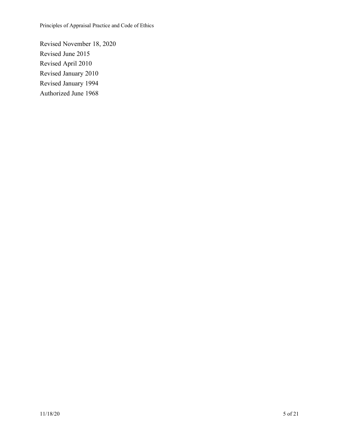Principles of Appraisal Practice and Code of Ethics

Revised November 18, 2020 Revised June 2015 Revised April 2010 Revised January 2010 Revised January 1994 Authorized June 1968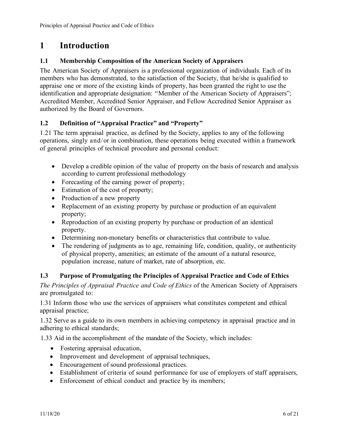## <span id="page-5-0"></span>**1 Introduction**

#### <span id="page-5-1"></span>**1.1 Membership Composition of the American Society of Appraisers**

The American Society of Appraisers is a professional organization of individuals. Each of its members who has demonstrated, to the satisfaction of the Society, that he/she is qualified to appraise one or more of the existing kinds of property, has been granted the right to use the identification and appropriate designation: "Member of the American Society of Appraisers"; Accredited Member, Accredited Senior Appraiser, and Fellow Accredited Senior Appraiser as authorized by the Board of Governors.

#### <span id="page-5-2"></span>**1.2 Definition of "Appraisal Practice" and "Property"**

1.21 The term appraisal practice, as defined by the Society, applies to any of the following operations, singly and/or in combination, these operations being executed within a framework of general principles of technical procedure and personal conduct:

- Develop a credible opinion of the value of property on the basis of research and analysis according to current professional methodology
- Forecasting of the earning power of property;
- Estimation of the cost of property;
- Production of a new property
- Replacement of an existing property by purchase or production of an equivalent property;
- Reproduction of an existing property by purchase or production of an identical property.
- Determining non-monetary benefits or characteristics that contribute to value.
- The rendering of judgments as to age, remaining life, condition, quality, or authenticity of physical property, amenities; an estimate of the amount of a natural resource, population increase, nature of market, rate of absorption, etc.

## <span id="page-5-3"></span>**1.3 Purpose of Promulgating the Principles of Appraisal Practice and Code of Ethics**

*The Principles of Appraisal Practice and Code of Ethics* of the American Society of Appraisers are promulgated to:

1.31 Inform those who use the services of appraisers what constitutes competent and ethical appraisal practice;

1.32 Serve as a guide to its own members in achieving competency in appraisal practice and in adhering to ethical standards;

1.33 Aid in the accomplishment of the mandate of the Society, which includes:

- Fostering appraisal education,
- Improvement and development of appraisal techniques,
- Encouragement of sound professional practices.
- Establishment of criteria of sound performance for use of employers of staff appraisers,
- Enforcement of ethical conduct and practice by its members;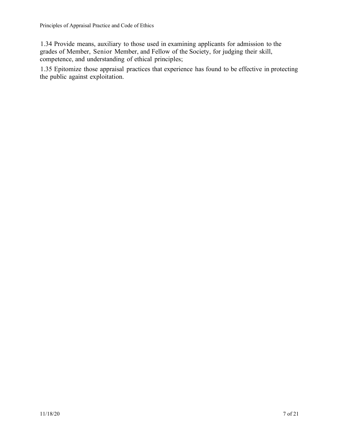1.34 Provide means, auxiliary to those used in examining applicants for admission to the grades of Member, Senior Member, and Fellow of the Society, for judging their skill, competence, and understanding of ethical principles;

1.35 Epitomize those appraisal practices that experience has found to be effective in protecting the public against exploitation.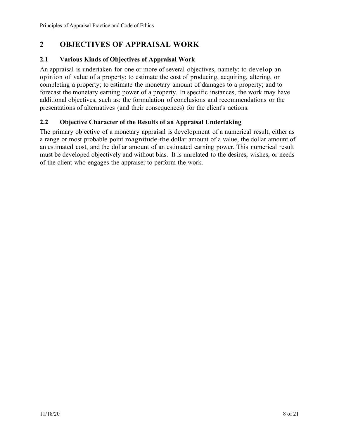## <span id="page-7-0"></span>**2 OBJECTIVES OF APPRAISAL WORK**

## <span id="page-7-1"></span>**2.1 Various Kinds of Objectives of Appraisal Work**

An appraisal is undertaken for one or more of several objectives, namely: to develop an opinion of value of a property; to estimate the cost of producing, acquiring, altering, or completing a property; to estimate the monetary amount of damages to a property; and to forecast the monetary earning power of a property. In specific instances, the work may have additional objectives, such as: the formulation of conclusions and recommendations or the presentations of alternatives (and their consequences) for the client's actions.

## <span id="page-7-2"></span>**2.2 Objective Character of the Results of an Appraisal Undertaking**

The primary objective of a monetary appraisal is development of a numerical result, either as a range or most probable point magnitude-the dollar amount of a value, the dollar amount of an estimated cost, and the dollar amount of an estimated earning power. This numerical result must be developed objectively and without bias. It is unrelated to the desires, wishes, or needs of the client who engages the appraiser to perform the work.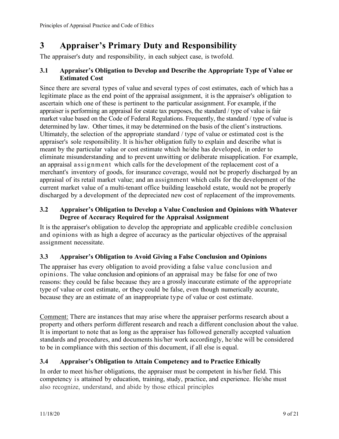## <span id="page-8-0"></span>**3 Appraiser's Primary Duty and Responsibility**

<span id="page-8-1"></span>The appraiser's duty and responsibility, in each subject case, is twofold.

## **3.1 Appraiser's Obligation to Develop and Describe the Appropriate Type of Value or Estimated Cost**

Since there are several types of value and several types of cost estimates, each of which has a legitimate place as the end point of the appraisal assignment, it is the appraiser's obligation to ascertain which one of these is pertinent to the particular assignment. For example, if the appraiser is performing an appraisal for estate tax purposes, the standard / type of value is fair market value based on the Code of Federal Regulations. Frequently, the standard / type of value is determined by law. Other times, it may be determined on the basis of the client's instructions. Ultimately, the selection of the appropriate standard / type of value or estimated cost is the appraiser's sole responsibility. It is his/her obligation fully to explain and describe what is meant by the particular value or cost estimate which he/she has developed, in order to eliminate misunderstanding and to prevent unwitting or deliberate misapplication. For example, an appraisal assignment which calls for the development of the replacement cost of a merchant's inventory of goods, for insurance coverage, would not be properly discharged by an appraisal of its retail market value; and an assignment which calls for the development of the current market value of a multi-tenant office building leasehold estate, would not be properly discharged by a development of the depreciated new cost of replacement of the improvements.

## <span id="page-8-2"></span>**3.2 Appraiser's Obligation to Develop a Value Conclusion and Opinions with Whatever Degree of Accuracy Required for the Appraisal Assignment**

It is the appraiser's obligation to develop the appropriate and applicable credible conclusion and opinions with as high a degree of accuracy as the particular objectives of the appraisal assignment necessitate.

## <span id="page-8-3"></span>**3.3 Appraiser's Obligation to Avoid Giving a False Conclusion and Opinions**

The appraiser has every obligation to avoid providing a false value conclusion and opinions. The value conclusion and opinions of an appraisal may be false for one of two reasons: they could be false because they are a grossly inaccurate estimate of the appropriate type of value or cost estimate, or they could be false, even though numerically accurate, because they are an estimate of an inappropriate type of value or cost estimate.

Comment: There are instances that may arise where the appraiser performs research about a property and others perform different research and reach a different conclusion about the value. It is important to note that as long as the appraiser has followed generally accepted valuation standards and procedures, and documents his/her work accordingly, he/she will be considered to be in compliance with this section of this document, if all else is equal.

## <span id="page-8-4"></span>**3.4 Appraiser's Obligation to Attain Competency and to Practice Ethically**

In order to meet his/her obligations, the appraiser must be competent in his/her field. This competency is attained by education, training, study, practice, and experience. He/she must also recognize, understand, and abide by those ethical principles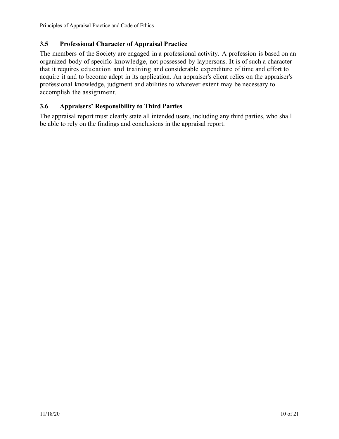## <span id="page-9-0"></span>**3.5 Professional Character of Appraisal Practice**

The members of the Society are engaged in a professional activity. A profession is based on an organized body of specific knowledge, not possessed by laypersons. It is of such a character that it requires education and training and considerable expenditure of time and effort to acquire it and to become adept in its application. An appraiser's client relies on the appraiser's professional knowledge, judgment and abilities to whatever extent may be necessary to accomplish the assignment.

## <span id="page-9-1"></span>**3.6 Appraisers' Responsibility to Third Parties**

The appraisal report must clearly state all intended users, including any third parties, who shall be able to rely on the findings and conclusions in the appraisal report.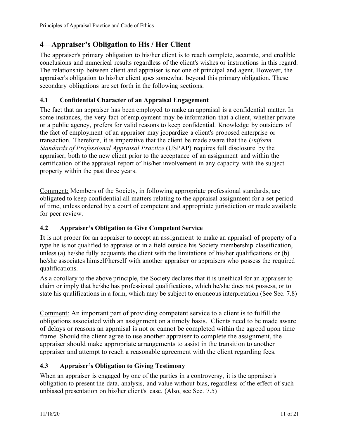## <span id="page-10-0"></span>**4—Appraiser's Obligation to His / Her Client**

The appraiser's primary obligation to his/her client is to reach complete, accurate, and credible conclusions and numerical results regardless of the client's wishes or instructions in this regard. The relationship between client and appraiser is not one of principal and agent. However, the appraiser's obligation to his/her client goes somewhat beyond this primary obligation. These secondary obligations are set forth in the following sections.

#### <span id="page-10-1"></span>**4.1 Confidential Character of an Appraisal Engagement**

The fact that an appraiser has been employed to make an appraisal is a confidential matter. In some instances, the very fact of employment may be information that a client, whether private or a public agency, prefers for valid reasons to keep confidential. Knowledge by outsiders of the fact of employment of an appraiser may jeopardize a client's proposed enterprise or transaction. Therefore, it is imperative that the client be made aware that the *Uniform Standards of Professional Appraisal Practice* (USPAP) requires full disclosure by the appraiser, both to the new client prior to the acceptance of an assignment and within the certification of the appraisal report of his/her involvement in any capacity with the subject property within the past three years.

Comment: Members of the Society, in following appropriate professional standards, are obligated to keep confidential all matters relating to the appraisal assignment for a set period of time, unless ordered by a court of competent and appropriate jurisdiction or made available for peer review.

## <span id="page-10-2"></span>**4.2 Appraiser's Obligation to Give Competent Service**

It is not proper for an appraiser to accept an assignment to make an appraisal of property of a type he is not qualified to appraise or in a field outside his Society membership classification, unless (a) he/she fully acquaints the client with the limitations of his/her qualifications or (b) he/she associates himself/herself with another appraiser or appraisers who possess the required qualifications.

As a corollary to the above principle, the Society declares that it is unethical for an appraiser to claim or imply that he/she has professional qualifications, which he/she does not possess, or to state his qualifications in a form, which may be subject to erroneous interpretation (See Sec. 7.8)

Comment: An important part of providing competent service to a client is to fulfill the obligations associated with an assignment on a timely basis. Clients need to be made aware of delays or reasons an appraisal is not or cannot be completed within the agreed upon time frame. Should the client agree to use another appraiser to complete the assignment, the appraiser should make appropriate arrangements to assist in the transition to another appraiser and attempt to reach a reasonable agreement with the client regarding fees.

## <span id="page-10-3"></span>**4.3 Appraiser's Obligation to Giving Testimony**

When an appraiser is engaged by one of the parties in a controversy, it is the appraiser's obligation to present the data, analysis, and value without bias, regardless of the effect of such unbiased presentation on his/her client's case. (Also, see Sec. 7.5)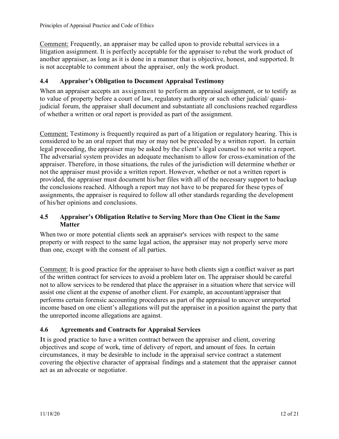Comment: Frequently, an appraiser may be called upon to provide rebuttal services in a litigation assignment. It is perfectly acceptable for the appraiser to rebut the work product of another appraiser, as long as it is done in a manner that is objective, honest, and supported. It is not acceptable to comment about the appraiser, only the work product.

## <span id="page-11-0"></span>**4.4 Appraiser's Obligation to Document Appraisal Testimony**

When an appraiser accepts an assignment to perform an appraisal assignment, or to testify as to value of property before a court of law, regulatory authority or such other judicial/ quasijudicial forum, the appraiser shall document and substantiate all conclusions reached regardless of whether a written or oral report is provided as part of the assignment.

Comment: Testimony is frequently required as part of a litigation or regulatory hearing. This is considered to be an oral report that may or may not be preceded by a written report. In certain legal proceeding, the appraiser may be asked by the client's legal counsel to not write a report. The adversarial system provides an adequate mechanism to allow for cross-examination of the appraiser. Therefore, in those situations, the rules of the jurisdiction will determine whether or not the appraiser must provide a written report. However, whether or not a written report is provided, the appraiser must document his/her files with all of the necessary support to backup the conclusions reached. Although a report may not have to be prepared for these types of assignments, the appraiser is required to follow all other standards regarding the development of his/her opinions and conclusions.

## <span id="page-11-1"></span>**4.5 Appraiser's Obligation Relative to Serving More than One Client in the Same Matter**

When two or more potential clients seek an appraiser's services with respect to the same property or with respect to the same legal action, the appraiser may not properly serve more than one, except with the consent of all parties.

Comment: It is good practice for the appraiser to have both clients sign a conflict waiver as part of the written contract for services to avoid a problem later on. The appraiser should be careful not to allow services to be rendered that place the appraiser in a situation where that service will assist one client at the expense of another client. For example, an accountant/appraiser that performs certain forensic accounting procedures as part of the appraisal to uncover unreported income based on one client's allegations will put the appraiser in a position against the party that the unreported income allegations are against.

## <span id="page-11-2"></span>**4.6 Agreements and Contracts for Appraisal Services**

It is good practice to have a written contract between the appraiser and client, covering objectives and scope of work, time of delivery of report, and amount of fees. In certain circumstances, it may be desirable to include in the appraisal service contract a statement covering the objective character of appraisal findings and a statement that the appraiser cannot act as an advocate or negotiator.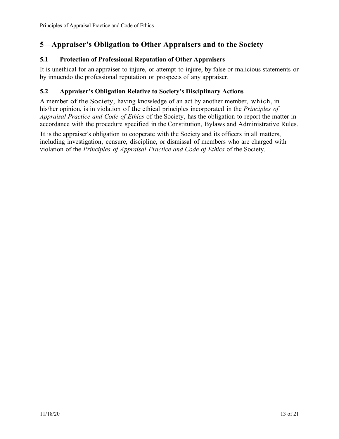## <span id="page-12-0"></span>**5—Appraiser's Obligation to Other Appraisers and to the Society**

## <span id="page-12-1"></span>**5.1 Protection of Professional Reputation of Other Appraisers**

It is unethical for an appraiser to injure, or attempt to injure, by false or malicious statements or by innuendo the professional reputation or prospects of any appraiser.

## <span id="page-12-2"></span>**5.2 Appraiser's Obligation Relative to Society's Disciplinary Actions**

A member of the Society, having knowledge of an act by another member, which, in his/her opinion, is in violation of the ethical principles incorporated in the *Principles of Appraisal Practice and Code of Ethics* of the Society, has the obligation to report the matter in accordance with the procedure specified in the Constitution, Bylaws and Administrative Rules.

It is the appraiser's obligation to cooperate with the Society and its officers in all matters, including investigation, censure, discipline, or dismissal of members who are charged with violation of the *Principles of Appraisal Practice and Code of Ethics* of the Society.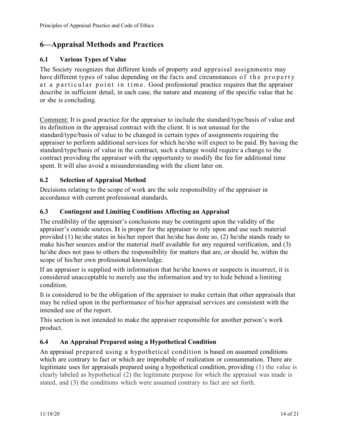## <span id="page-13-0"></span>**6—Appraisal Methods and Practices**

## <span id="page-13-1"></span>**6.1 Various Types of Value**

The Society recognizes that different kinds of property and appraisal assignments may have different types of value depending on the facts and circumstances of the property at a particular point in time. Good professional practice requires that the appraiser describe in sufficient detail, in each case, the nature and meaning of the specific value that he or she is concluding.

Comment: It is good practice for the appraiser to include the standard/type/basis of value and its definition in the appraisal contract with the client. It is not unusual for the standard/type/basis of value to be changed in certain types of assignments requiring the appraiser to perform additional services for which he/she will expect to be paid. By having the standard/type/basis of value in the contract, such a change would require a change to the contract providing the appraiser with the opportunity to modify the fee for additional time spent. It will also avoid a misunderstanding with the client later on.

## <span id="page-13-2"></span>**6.2 Selection of Appraisal Method**

Decisions relating to the scope of work are the sole responsibility of the appraiser in accordance with current professional standards.

## <span id="page-13-3"></span>**6.3 Contingent and Limiting Conditions Affecting an Appraisal**

The credibility of the appraiser's conclusions may be contingent upon the validity of the appraiser's outside sources. It is proper for the appraiser to rely upon and use such material provided (1) he/she states in his/her report that he/she has done so, (2) he/she stands ready to make his/her sources and/or the material itself available for any required verification, and (3) he/she does not pass to others the responsibility for matters that are, or should be, within the scope of his/her own professional knowledge.

If an appraiser is supplied with information that he/she knows or suspects is incorrect, it is considered unacceptable to merely use the information and try to hide behind a limiting condition.

It is considered to be the obligation of the appraiser to make certain that other appraisals that may be relied upon in the performance of his/her appraisal services are consistent with the intended use of the report.

This section is not intended to make the appraiser responsible for another person's work product.

## <span id="page-13-4"></span>**6.4 An Appraisal Prepared using a Hypothetical Condition**

An appraisal prepared using a hypothetical condition is based on assumed conditions which are contrary to fact or which are improbable of realization or consummation. There are legitimate uses for appraisals prepared using a hypothetical condition, providing (1) the value is clearly labeled as hypothetical (2) the legitimate purpose for which the appraisal was made is stated, and (3) the conditions which were assumed contrary to fact are set forth.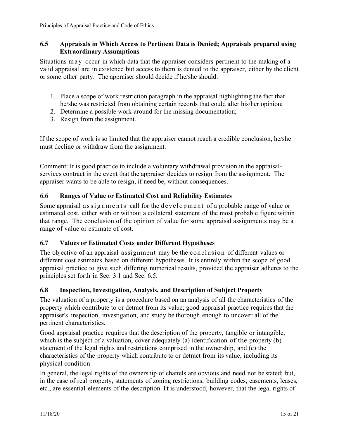## <span id="page-14-0"></span>**6.5 Appraisals in Which Access to Pertinent Data is Denied; Appraisals prepared using Extraordinary Assumptions**

Situations may occur in which data that the appraiser considers pertinent to the making of a valid appraisal are in existence but access to them is denied to the appraiser, either by the client or some other party. The appraiser should decide if he/she should:

- 1. Place a scope of work restriction paragraph in the appraisal highlighting the fact that he/she was restricted from obtaining certain records that could alter his/her opinion;
- 2. Determine a possible work-around for the missing documentation;
- 3. Resign from the assignment.

If the scope of work is so limited that the appraiser cannot reach a credible conclusion, he/she must decline or withdraw from the assignment.

Comment: It is good practice to include a voluntary withdrawal provision in the appraisalservices contract in the event that the appraiser decides to resign from the assignment. The appraiser wants to be able to resign, if need be, without consequences.

## <span id="page-14-1"></span>**6.6 Ranges of Value or Estimated Cost and Reliability Estimates**

Some appraisal assignments call for the development of a probable range of value or estimated cost, either with or without a collateral statement of the most probable figure within that range. The conclusion of the opinion of value for some appraisal assignments may be a range of value or estimate of cost.

## <span id="page-14-2"></span>**6.7 Values or Estimated Costs under Different Hypotheses**

The objective of an appraisal assignment may be the conclusion of different values or different cost estimates based on different hypotheses. It is entirely within the scope of good appraisal practice to give such differing numerical results, provided the appraiser adheres to the principles set forth in Sec. 3.1 and Sec. 6.5.

## <span id="page-14-3"></span>**6.8 Inspection, Investigation, Analysis, and Description of Subject Property**

The valuation of a property is a procedure based on an analysis of all the characteristics of the property which contribute to or detract from its value; good appraisal practice requires that the appraiser's inspection, investigation, and study be thorough enough to uncover all of the pertinent characteristics.

Good appraisal practice requires that the description of the property, tangible or intangible, which is the subject of a valuation, cover adequately (a) identification of the property (b) statement of the legal rights and restrictions comprised in the ownership, and (c) the characteristics of the property which contribute to or detract from its value, including its physical condition

In general, the legal rights of the ownership of chattels are obvious and need not be stated; but, in the case of real property, statements of zoning restrictions, building codes, easements, leases, etc., are essential elements of the description. It is understood, however, that the legal rights of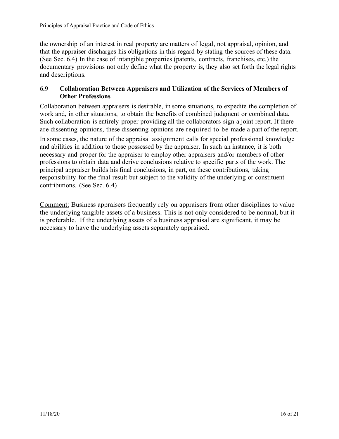the ownership of an interest in real property are matters of legal, not appraisal, opinion, and that the appraiser discharges his obligations in this regard by stating the sources of these data. (See Sec. 6.4) In the case of intangible properties (patents, contracts, franchises, etc.) the documentary provisions not only define what the property is, they also set forth the legal rights and descriptions.

## <span id="page-15-0"></span>**6.9 Collaboration Between Appraisers and Utilization of the Services of Members of Other Professions**

Collaboration between appraisers is desirable, in some situations, to expedite the completion of work and, in other situations, to obtain the benefits of combined judgment or combined data. Such collaboration is entirely proper providing all the collaborators sign a joint report. If there are dissenting opinions, these dissenting opinions are required to be made a part of the report.

In some cases, the nature of the appraisal assignment calls for special professional knowledge and abilities in addition to those possessed by the appraiser. In such an instance, it is both necessary and proper for the appraiser to employ other appraisers and/or members of other professions to obtain data and derive conclusions relative to specific parts of the work. The principal appraiser builds his final conclusions, in part, on these contributions, taking responsibility for the final result but subject to the validity of the underlying or constituent contributions. (See Sec. 6.4)

Comment: Business appraisers frequently rely on appraisers from other disciplines to value the underlying tangible assets of a business. This is not only considered to be normal, but it is preferable. If the underlying assets of a business appraisal are significant, it may be necessary to have the underlying assets separately appraised.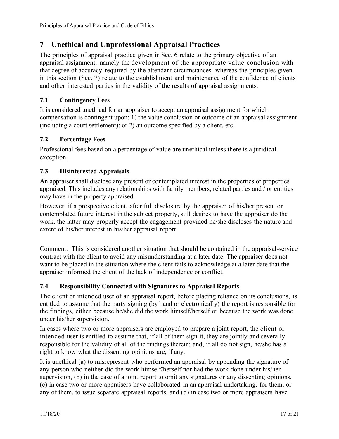## <span id="page-16-0"></span>**7—Unethical and Unprofessional Appraisal Practices**

The principles of appraisal practice given in Sec. 6 relate to the primary objective of an appraisal assignment, namely the development of the appropriate value conclusion with that degree of accuracy required by the attendant circumstances, whereas the principles given in this section (Sec. 7) relate to the establishment and maintenance of the confidence of clients and other interested parties in the validity of the results of appraisal assignments.

## <span id="page-16-1"></span>**7.1 Contingency Fees**

It is considered unethical for an appraiser to accept an appraisal assignment for which compensation is contingent upon: 1) the value conclusion or outcome of an appraisal assignment (including a court settlement); or 2) an outcome specified by a client, etc.

## <span id="page-16-2"></span>**7.2 Percentage Fees**

Professional fees based on a percentage of value are unethical unless there is a juridical exception.

## <span id="page-16-3"></span>**7.3 Disinterested Appraisals**

An appraiser shall disclose any present or contemplated interest in the properties or properties appraised. This includes any relationships with family members, related parties and / or entities may have in the property appraised.

However, if a prospective client, after full disclosure by the appraiser of his/her present or contemplated future interest in the subject property, still desires to have the appraiser do the work, the latter may properly accept the engagement provided he/she discloses the nature and extent of his/her interest in his/her appraisal report.

Comment: This is considered another situation that should be contained in the appraisal-service contract with the client to avoid any misunderstanding at a later date. The appraiser does not want to be placed in the situation where the client fails to acknowledge at a later date that the appraiser informed the client of the lack of independence or conflict.

## <span id="page-16-4"></span>**7.4 Responsibility Connected with Signatures to Appraisal Reports**

The client or intended user of an appraisal report, before placing reliance on its conclusions, is entitled to assume that the party signing (by hand or electronically) the report is responsible for the findings, either because he/she did the work himself/herself or because the work was done under his/her supervision.

In cases where two or more appraisers are employed to prepare a joint report, the client or intended user is entitled to assume that, if all of them sign it, they are jointly and severally responsible for the validity of all of the findings therein; and, if all do not sign, he/she has a right to know what the dissenting opinions are, if any.

It is unethical (a) to misrepresent who performed an appraisal by appending the signature of any person who neither did the work himself/herself nor had the work done under his/her supervision, (b) in the case of a joint report to omit any signatures or any dissenting opinions, (c) in case two or more appraisers have collaborated in an appraisal undertaking, for them, or any of them, to issue separate appraisal reports, and (d) in case two or more appraisers have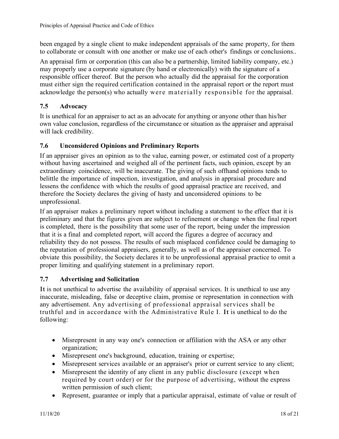been engaged by a single client to make independent appraisals of the same property, for them to collaborate or consult with one another or make use of each other's findings or conclusions..

An appraisal firm or corporation (this can also be a partnership, limited liability company, etc.) may properly use a corporate signature (by hand or electronically) with the signature of a responsible officer thereof. But the person who actually did the appraisal for the corporation must either sign the required certification contained in the appraisal report or the report must acknowledge the person(s) who actually were materially responsible for the appraisal.

## <span id="page-17-0"></span>**7.5 Advocacy**

It is unethical for an appraiser to act as an advocate for anything or anyone other than his/her own value conclusion, regardless of the circumstance or situation as the appraiser and appraisal will lack credibility.

## <span id="page-17-1"></span>**7.6 Unconsidered Opinions and Preliminary Reports**

If an appraiser gives an opinion as to the value, earning power, or estimated cost of a property without having ascertained and weighed all of the pertinent facts, such opinion, except by an extraordinary coincidence, will be inaccurate. The giving of such offhand opinions tends to belittle the importance of inspection, investigation, and analysis in appraisal procedure and lessens the confidence with which the results of good appraisal practice are received, and therefore the Society declares the giving of hasty and unconsidered opinions to be unprofessional.

If an appraiser makes a preliminary report without including a statement to the effect that it is preliminary and that the figures given are subject to refinement or change when the final report is completed, there is the possibility that some user of the report, being under the impression that it is a final and completed report, will accord the figures a degree of accuracy and reliability they do not possess. The results of such misplaced confidence could be damaging to the reputation of professional appraisers, generally, as well as of the appraiser concerned. To obviate this possibility, the Society declares it to be unprofessional appraisal practice to omit a proper limiting and qualifying statement in a preliminary report.

## <span id="page-17-2"></span>**7.7 Advertising and Solicitation**

It is not unethical to advertise the availability of appraisal services. It is unethical to use any inaccurate, misleading, false or deceptive claim, promise or representation in connection with any advertisement. Any advertising of professional appraisal services shall be truthful and in accordance with the Administrative Rule I. It is unethical to do the following:

- Misrepresent in any way one's connection or affiliation with the ASA or any other organization;
- Misrepresent one's background, education, training or expertise;
- Misrepresent services available or an appraiser's prior or current service to any client;
- Misrepresent the identity of any client in any public disclosure (except when required by court order) or for the purpose of advertising, without the express written permission of such client;
- Represent, guarantee or imply that a particular appraisal, estimate of value or result of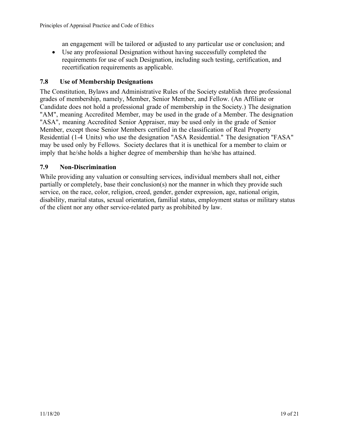an engagement will be tailored or adjusted to any particular use or conclusion; and

• Use any professional Designation without having successfully completed the requirements for use of such Designation, including such testing, certification, and recertification requirements as applicable.

## <span id="page-18-0"></span>**7.8 Use of Membership Designations**

The Constitution, Bylaws and Administrative Rules of the Society establish three professional grades of membership, namely, Member, Senior Member, and Fellow. (An Affiliate or Candidate does not hold a professional grade of membership in the Society.) The designation "AM", meaning Accredited Member, may be used in the grade of a Member. The designation "ASA", meaning Accredited Senior Appraiser, may be used only in the grade of Senior Member, except those Senior Members certified in the classification of Real Property Residential (1-4 Units) who use the designation "ASA Residential." The designation "FASA" may be used only by Fellows. Society declares that it is unethical for a member to claim or imply that he/she holds a higher degree of membership than he/she has attained.

## <span id="page-18-1"></span>**7.9 Non-Discrimination**

While providing any valuation or consulting services, individual members shall not, either partially or completely, base their conclusion(s) nor the manner in which they provide such service, on the race, color, religion, creed, gender, gender expression, age, national origin, disability, marital status, sexual orientation, familial status, employment status or military status of the client nor any other service-related party as prohibited by law.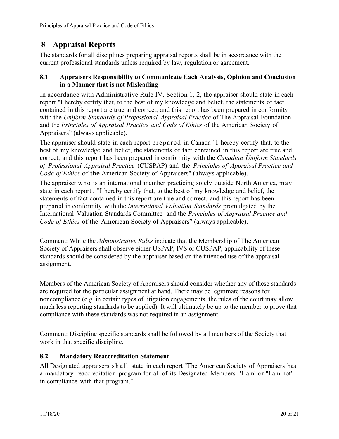## <span id="page-19-0"></span>**8—Appraisal Reports**

The standards for all disciplines preparing appraisal reports shall be in accordance with the current professional standards unless required by law, regulation or agreement.

## <span id="page-19-1"></span>**8.1 Appraisers Responsibility to Communicate Each Analysis, Opinion and Conclusion in a Manner that is not Misleading**

In accordance with Administrative Rule IV, Section 1, 2, the appraiser should state in each report "I hereby certify that, to the best of my knowledge and belief, the statements of fact contained in this report are true and correct, and this report has been prepared in conformity with the *Uniform Standards of Professional Appraisal Practice* of The Appraisal Foundation and the *Principles of Appraisal Practice and Code of Ethics* of the American Society of Appraisers" (always applicable).

The appraiser should state in each report prepared in Canada "I hereby certify that, to the best of my knowledge and belief, the statements of fact contained in this report are true and correct, and this report has been prepared in conformity with the *Canadian Uniform Standards of Professional Appraisal Practice* (CUSPAP) and the *Principles of Appraisal Practice and Code of Ethics* of the American Society of Appraisers" (always applicable).

The appraiser who is an international member practicing solely outside North America, may state in each report , "I hereby certify that, to the best of my knowledge and belief, the statements of fact contained in this report are true and correct, and this report has been prepared in conformity with the *International Valuation Standards* promulgated by the International Valuation Standards Committee and the *Principles of Appraisal Practice and Code of Ethics* of the American Society of Appraisers" (always applicable).

Comment: While the *Administrative Rules* indicate that the Membership of The American Society of Appraisers shall observe either USPAP, IVS or CUSPAP, applicability of these standards should be considered by the appraiser based on the intended use of the appraisal assignment.

Members of the American Society of Appraisers should consider whether any of these standards are required for the particular assignment at hand. There may be legitimate reasons for noncompliance (e.g. in certain types of litigation engagements, the rules of the court may allow much less reporting standards to be applied). It will ultimately be up to the member to prove that compliance with these standards was not required in an assignment.

Comment: Discipline specific standards shall be followed by all members of the Society that work in that specific discipline.

## <span id="page-19-2"></span>**8.2 Mandatory Reaccreditation Statement**

All Designated appraisers shall state in each report "The American Society of Appraisers has a mandatory reaccreditation program for all of its Designated Members. 'I am' or "I am not' in compliance with that program."